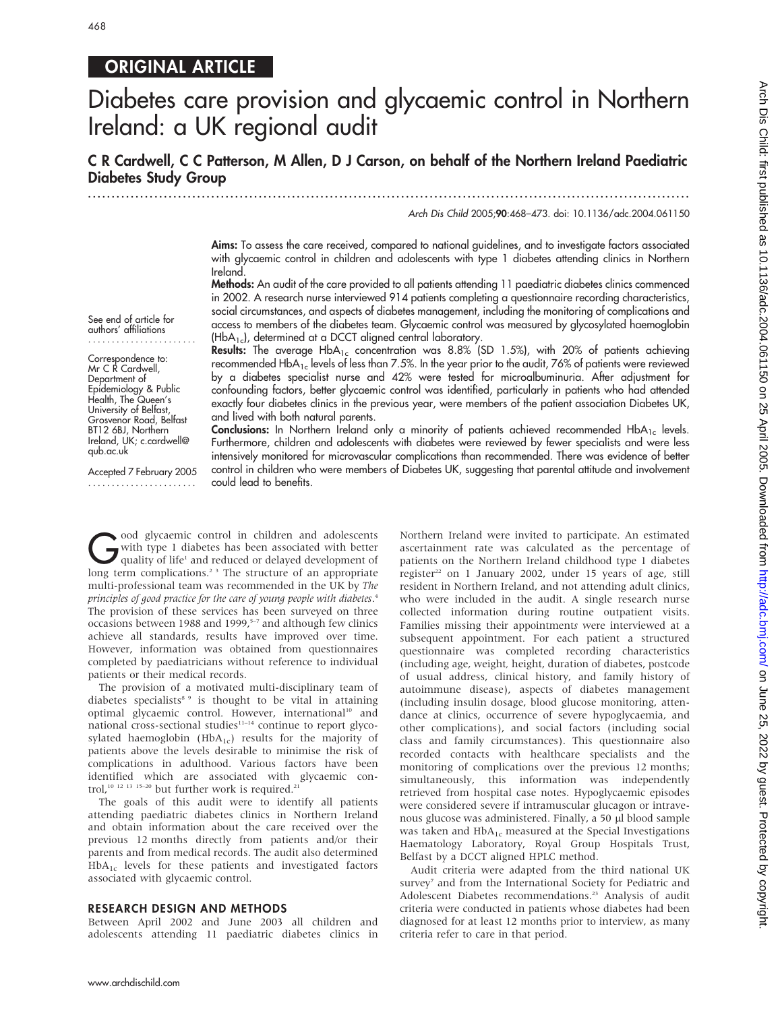# 468

# ORIGINAL ARTICLE

# Diabetes care provision and glycaemic control in Northern Ireland: a UK regional audit

C R Cardwell, C C Patterson, M Allen, D J Carson, on behalf of the Northern Ireland Paediatric Diabetes Study Group ...............................................................................................................................

Arch Dis Child 2005;90:468–473. doi: 10.1136/adc.2004.061150

Aims: To assess the care received, compared to national guidelines, and to investigate factors associated with glycaemic control in children and adolescents with type 1 diabetes attending clinics in Northern Ireland.

Methods: An audit of the care provided to all patients attending 11 paediatric diabetes clinics commenced in 2002. A research nurse interviewed 914 patients completing a questionnaire recording characteristics, social circumstances, and aspects of diabetes management, including the monitoring of complications and access to members of the diabetes team. Glycaemic control was measured by glycosylated haemoglobin (HbA1c), determined at a DCCT aligned central laboratory.

See end of article for authors' affiliations .......................

Correspondence to: Mr C R Cardwell, Department of Epidemiology & Public Health, The Queen's University of Belfast, Grosvenor Road, Belfast BT12 6BJ, Northern Ireland, UK; c.cardwell@ qub.ac.uk

Accepted 7 February 2005 .......................

Results: The average  $HbA_{1c}$  concentration was 8.8% (SD 1.5%), with 20% of patients achieving recommended HbA<sub>1c</sub> levels of less than 7.5%. In the year prior to the audit, 76% of patients were reviewed by a diabetes specialist nurse and 42% were tested for microalbuminuria. After adjustment for confounding factors, better glycaemic control was identified, particularly in patients who had attended exactly four diabetes clinics in the previous year, were members of the patient association Diabetes UK, and lived with both natural parents.

Conclusions: In Northern Ireland only a minority of patients achieved recommended HbA<sub>1c</sub> levels. Furthermore, children and adolescents with diabetes were reviewed by fewer specialists and were less intensively monitored for microvascular complications than recommended. There was evidence of better control in children who were members of Diabetes UK, suggesting that parental attitude and involvement could lead to benefits.

Good glycaemic control in children and adolescents<br>with type 1 diabetes has been associated with better<br>quality of life<sup>1</sup> and reduced or delayed development of<br>long term complications<sup>23</sup> The structure of an appropriate with type 1 diabetes has been associated with better quality of life<sup>1</sup> and reduced or delayed development of long term complications.<sup>23</sup> The structure of an appropriate multi-professional team was recommended in the UK by The principles of good practice for the care of young people with diabetes. 4 The provision of these services has been surveyed on three occasions between 1988 and 1999, $5-7$  and although few clinics achieve all standards, results have improved over time. However, information was obtained from questionnaires completed by paediatricians without reference to individual patients or their medical records.

The provision of a motivated multi-disciplinary team of diabetes specialists<sup>8</sup> <sup>9</sup> is thought to be vital in attaining optimal glycaemic control. However, international<sup>10</sup> and national cross-sectional studies $11-14$  continue to report glycosylated haemoglobin ( $HbA_{1c}$ ) results for the majority of patients above the levels desirable to minimise the risk of complications in adulthood. Various factors have been identified which are associated with glycaemic control,<sup>10 12 13 15-20</sup> but further work is required.<sup>2</sup>

The goals of this audit were to identify all patients attending paediatric diabetes clinics in Northern Ireland and obtain information about the care received over the previous 12 months directly from patients and/or their parents and from medical records. The audit also determined  $HbA_{1c}$  levels for these patients and investigated factors associated with glycaemic control.

### RESEARCH DESIGN AND METHODS

Between April 2002 and June 2003 all children and adolescents attending 11 paediatric diabetes clinics in Northern Ireland were invited to participate. An estimated ascertainment rate was calculated as the percentage of patients on the Northern Ireland childhood type 1 diabetes register<sup>22</sup> on 1 January 2002, under 15 years of age, still resident in Northern Ireland, and not attending adult clinics, who were included in the audit. A single research nurse collected information during routine outpatient visits. Families missing their appointments were interviewed at a subsequent appointment. For each patient a structured questionnaire was completed recording characteristics (including age, weight, height, duration of diabetes, postcode of usual address, clinical history, and family history of autoimmune disease), aspects of diabetes management (including insulin dosage, blood glucose monitoring, attendance at clinics, occurrence of severe hypoglycaemia, and other complications), and social factors (including social class and family circumstances). This questionnaire also recorded contacts with healthcare specialists and the monitoring of complications over the previous 12 months; simultaneously, this information was independently retrieved from hospital case notes. Hypoglycaemic episodes were considered severe if intramuscular glucagon or intravenous glucose was administered. Finally, a 50 µl blood sample was taken and  $HbA_{1c}$  measured at the Special Investigations Haematology Laboratory, Royal Group Hospitals Trust, Belfast by a DCCT aligned HPLC method.

Audit criteria were adapted from the third national UK survey<sup>7</sup> and from the International Society for Pediatric and Adolescent Diabetes recommendations.<sup>23</sup> Analysis of audit criteria were conducted in patients whose diabetes had been diagnosed for at least 12 months prior to interview, as many criteria refer to care in that period.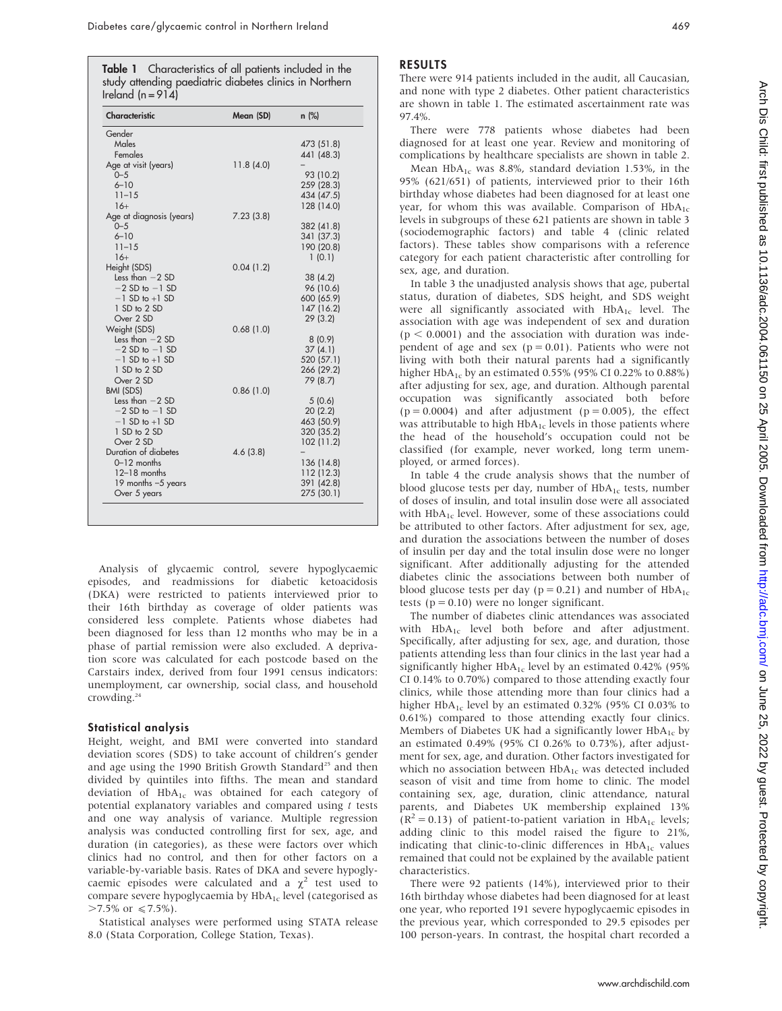Table 1 Characteristics of all patients included in the study attending paediatric diabetes clinics in Northern Ireland ( $n = 914$ )

| Characteristic           | Mean (SD) | $n$ (%)    |
|--------------------------|-----------|------------|
| Gender                   |           |            |
| Males                    |           | 473 (51.8) |
| Females                  |           | 441 (48.3) |
| Age at visit (years)     | 11.8(4.0) |            |
| $0 - 5$                  |           | 93 (10.2)  |
| $6 - 10$                 |           | 259 (28.3) |
| $11 - 15$                |           | 434 (47.5) |
| $16+$                    |           | 128 (14.0) |
| Age at diagnosis (years) | 7.23(3.8) |            |
| $0 - 5$                  |           | 382 (41.8) |
| $6 - 10$                 |           | 341 (37.3) |
| $11 - 15$                |           | 190 (20.8) |
| $16+$                    |           | 1(0.1)     |
| Height (SDS)             | 0.04(1.2) |            |
| Less than $-2$ SD        |           | 38(4.2)    |
| $-2$ SD to $-1$ SD       |           | 96 (10.6)  |
| $-1$ SD to $+1$ SD       |           | 600 (65.9) |
| 1 SD to 2 SD             |           | 147 (16.2) |
| Over 2 SD                |           | 29(3.2)    |
| Weight (SDS)             | 0.68(1.0) |            |
| Less than $-2$ SD        |           | 8(0.9)     |
| $-2$ SD to $-1$ SD       |           | 37(4.1)    |
| $-1$ SD to $+1$ SD       |           | 520 (57.1) |
| 1 SD to 2 SD             |           | 266 (29.2) |
| Over 2 SD                |           | 79 (8.7)   |
| BMI (SDS)                | 0.86(1.0) |            |
| Less than $-2$ SD        |           | 5(0.6)     |
| $-2$ SD to $-1$ SD       |           | 20(2.2)    |
| $-1$ SD to $+1$ SD       |           | 463 (50.9) |
| 1 SD to 2 SD             |           | 320 (35.2) |
| Over 2 SD                |           | 102(11.2)  |
| Duration of diabetes     | 4.6(3.8)  |            |
| $0-12$ months            |           | 136 (14.8) |
| $12-18$ months           |           | 112 (12.3) |
| 19 months $-5$ years     |           | 391 (42.8) |
| Over 5 years             |           | 275 (30.1) |

Analysis of glycaemic control, severe hypoglycaemic episodes, and readmissions for diabetic ketoacidosis (DKA) were restricted to patients interviewed prior to their 16th birthday as coverage of older patients was considered less complete. Patients whose diabetes had been diagnosed for less than 12 months who may be in a phase of partial remission were also excluded. A deprivation score was calculated for each postcode based on the Carstairs index, derived from four 1991 census indicators: unemployment, car ownership, social class, and household crowding.24

### Statistical analysis

Height, weight, and BMI were converted into standard deviation scores (SDS) to take account of children's gender and age using the 1990 British Growth Standard<sup>25</sup> and then divided by quintiles into fifths. The mean and standard deviation of HbA<sub>1c</sub> was obtained for each category of potential explanatory variables and compared using  $t$  tests and one way analysis of variance. Multiple regression analysis was conducted controlling first for sex, age, and duration (in categories), as these were factors over which clinics had no control, and then for other factors on a variable-by-variable basis. Rates of DKA and severe hypoglycaemic episodes were calculated and a  $\chi^2$  test used to compare severe hypoglycaemia by HbA<sub>1c</sub> level (categorised as  $>7.5\%$  or  $\leq 7.5\%$ ).

Statistical analyses were performed using STATA release 8.0 (Stata Corporation, College Station, Texas).

# RESULTS

There were 914 patients included in the audit, all Caucasian, and none with type 2 diabetes. Other patient characteristics are shown in table 1. The estimated ascertainment rate was 97.4%.

There were 778 patients whose diabetes had been diagnosed for at least one year. Review and monitoring of complications by healthcare specialists are shown in table 2. Mean  $HbA_{1c}$  was 8.8%, standard deviation 1.53%, in the 95% (621/651) of patients, interviewed prior to their 16th birthday whose diabetes had been diagnosed for at least one year, for whom this was available. Comparison of  $HbA_{1c}$ levels in subgroups of these 621 patients are shown in table 3 (sociodemographic factors) and table 4 (clinic related factors). These tables show comparisons with a reference category for each patient characteristic after controlling for sex, age, and duration.

In table 3 the unadjusted analysis shows that age, pubertal status, duration of diabetes, SDS height, and SDS weight were all significantly associated with  $HbA_{1c}$  level. The association with age was independent of sex and duration  $(p < 0.0001)$  and the association with duration was independent of age and sex ( $p = 0.01$ ). Patients who were not living with both their natural parents had a significantly higher HbA<sub>1c</sub> by an estimated 0.55% (95% CI 0.22% to 0.88%) after adjusting for sex, age, and duration. Although parental occupation was significantly associated both before  $(p = 0.0004)$  and after adjustment  $(p = 0.005)$ , the effect was attributable to high  $HbA_{1c}$  levels in those patients where the head of the household's occupation could not be classified (for example, never worked, long term unemployed, or armed forces).

In table 4 the crude analysis shows that the number of blood glucose tests per day, number of  $HbA_{1c}$  tests, number of doses of insulin, and total insulin dose were all associated with  $HbA_{1c}$  level. However, some of these associations could be attributed to other factors. After adjustment for sex, age, and duration the associations between the number of doses of insulin per day and the total insulin dose were no longer significant. After additionally adjusting for the attended diabetes clinic the associations between both number of blood glucose tests per day ( $p = 0.21$ ) and number of  $HbA<sub>1c</sub>$ tests ( $p = 0.10$ ) were no longer significant.

The number of diabetes clinic attendances was associated with  $HbA_{1c}$  level both before and after adjustment. Specifically, after adjusting for sex, age, and duration, those patients attending less than four clinics in the last year had a significantly higher  $HbA_{1c}$  level by an estimated 0.42% (95% CI 0.14% to 0.70%) compared to those attending exactly four clinics, while those attending more than four clinics had a higher HbA<sub>1c</sub> level by an estimated 0.32% (95% CI 0.03% to 0.61%) compared to those attending exactly four clinics. Members of Diabetes UK had a significantly lower  $HbA_{1c}$  by an estimated 0.49% (95% CI 0.26% to 0.73%), after adjustment for sex, age, and duration. Other factors investigated for which no association between HbA<sub>1c</sub> was detected included season of visit and time from home to clinic. The model containing sex, age, duration, clinic attendance, natural parents, and Diabetes UK membership explained 13%  $(R^2 = 0.13)$  of patient-to-patient variation in HbA<sub>1c</sub> levels; adding clinic to this model raised the figure to 21%, indicating that clinic-to-clinic differences in  $HbA_{1c}$  values remained that could not be explained by the available patient characteristics.

There were 92 patients (14%), interviewed prior to their 16th birthday whose diabetes had been diagnosed for at least one year, who reported 191 severe hypoglycaemic episodes in the previous year, which corresponded to 29.5 episodes per 100 person-years. In contrast, the hospital chart recorded a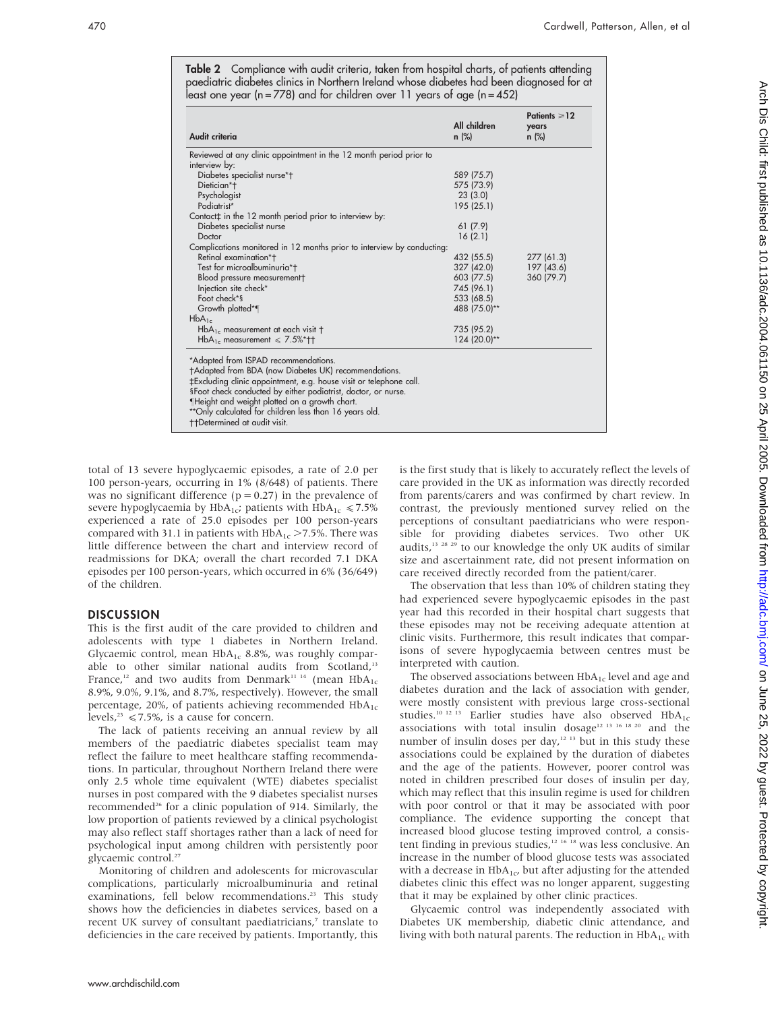Table 2 Compliance with audit criteria, taken from hospital charts, of patients attending paediatric diabetes clinics in Northern Ireland whose diabetes had been diagnosed for at least one year (n = 778) and for children over 11 years of age (n = 452)

| 589 (75.7)<br>575 (73.9)<br>23(3.0)<br>195 (25.1)<br>61(7.9)<br>16(2.1) |            |
|-------------------------------------------------------------------------|------------|
|                                                                         |            |
|                                                                         |            |
|                                                                         |            |
|                                                                         |            |
|                                                                         |            |
|                                                                         |            |
|                                                                         |            |
|                                                                         |            |
|                                                                         |            |
|                                                                         |            |
| 432 (55.5)                                                              | 277(61.3)  |
| 327 (42.0)                                                              | 197 (43.6) |
| 603 (77.5)                                                              | 360 (79.7) |
| 745 (96.1)                                                              |            |
| 533 (68.5)                                                              |            |
| 488 (75.0)**                                                            |            |
|                                                                         |            |
| 735 (95.2)                                                              |            |
| 124 (20.0)**                                                            |            |
|                                                                         |            |

-Height and weight plotted on a growth chart.

\*\*Only calculated for children less than 16 years old.

the termined at audit visit.

total of 13 severe hypoglycaemic episodes, a rate of 2.0 per 100 person-years, occurring in 1% (8/648) of patients. There was no significant difference ( $p = 0.27$ ) in the prevalence of severe hypoglycaemia by HbA<sub>1c</sub>; patients with HbA<sub>1c</sub>  $\le 7.5\%$ experienced a rate of 25.0 episodes per 100 person-years compared with 31.1 in patients with  $HbA_{1c} > 7.5$ %. There was little difference between the chart and interview record of readmissions for DKA; overall the chart recorded 7.1 DKA episodes per 100 person-years, which occurred in 6% (36/649) of the children.

## **DISCUSSION**

This is the first audit of the care provided to children and adolescents with type 1 diabetes in Northern Ireland. Glycaemic control, mean  $HbA_{1c}$  8.8%, was roughly comparable to other similar national audits from Scotland,<sup>13</sup> France,<sup>12</sup> and two audits from Denmark<sup>11 14</sup> (mean  $HbA_{1c}$ 8.9%, 9.0%, 9.1%, and 8.7%, respectively). However, the small percentage, 20%, of patients achieving recommended  $HbA<sub>1c</sub>$ levels,<sup>23</sup>  $\leq 7.5\%$ , is a cause for concern.

The lack of patients receiving an annual review by all members of the paediatric diabetes specialist team may reflect the failure to meet healthcare staffing recommendations. In particular, throughout Northern Ireland there were only 2.5 whole time equivalent (WTE) diabetes specialist nurses in post compared with the 9 diabetes specialist nurses recommended<sup>26</sup> for a clinic population of 914. Similarly, the low proportion of patients reviewed by a clinical psychologist may also reflect staff shortages rather than a lack of need for psychological input among children with persistently poor glycaemic control.<sup>27</sup>

Monitoring of children and adolescents for microvascular complications, particularly microalbuminuria and retinal examinations, fell below recommendations.<sup>23</sup> This study shows how the deficiencies in diabetes services, based on a recent UK survey of consultant paediatricians,<sup>7</sup> translate to deficiencies in the care received by patients. Importantly, this

is the first study that is likely to accurately reflect the levels of care provided in the UK as information was directly recorded from parents/carers and was confirmed by chart review. In contrast, the previously mentioned survey relied on the perceptions of consultant paediatricians who were responsible for providing diabetes services. Two other UK audits,13 28 29 to our knowledge the only UK audits of similar size and ascertainment rate, did not present information on care received directly recorded from the patient/carer.

The observation that less than 10% of children stating they had experienced severe hypoglycaemic episodes in the past year had this recorded in their hospital chart suggests that these episodes may not be receiving adequate attention at clinic visits. Furthermore, this result indicates that comparisons of severe hypoglycaemia between centres must be interpreted with caution.

The observed associations between  $HbA_{1c}$  level and age and diabetes duration and the lack of association with gender, were mostly consistent with previous large cross-sectional studies.<sup>10 12 13</sup> Earlier studies have also observed  $HbA_{1c}$ associations with total insulin dosage<sup>12 13 16 18 20</sup> and the number of insulin doses per day, $12 \frac{13}{13}$  but in this study these associations could be explained by the duration of diabetes and the age of the patients. However, poorer control was noted in children prescribed four doses of insulin per day, which may reflect that this insulin regime is used for children with poor control or that it may be associated with poor compliance. The evidence supporting the concept that increased blood glucose testing improved control, a consistent finding in previous studies,<sup>12 16</sup> <sup>18</sup> was less conclusive. An increase in the number of blood glucose tests was associated with a decrease in  $HbA_{1c}$ , but after adjusting for the attended diabetes clinic this effect was no longer apparent, suggesting that it may be explained by other clinic practices.

Glycaemic control was independently associated with Diabetes UK membership, diabetic clinic attendance, and living with both natural parents. The reduction in  $HbA_{1c}$  with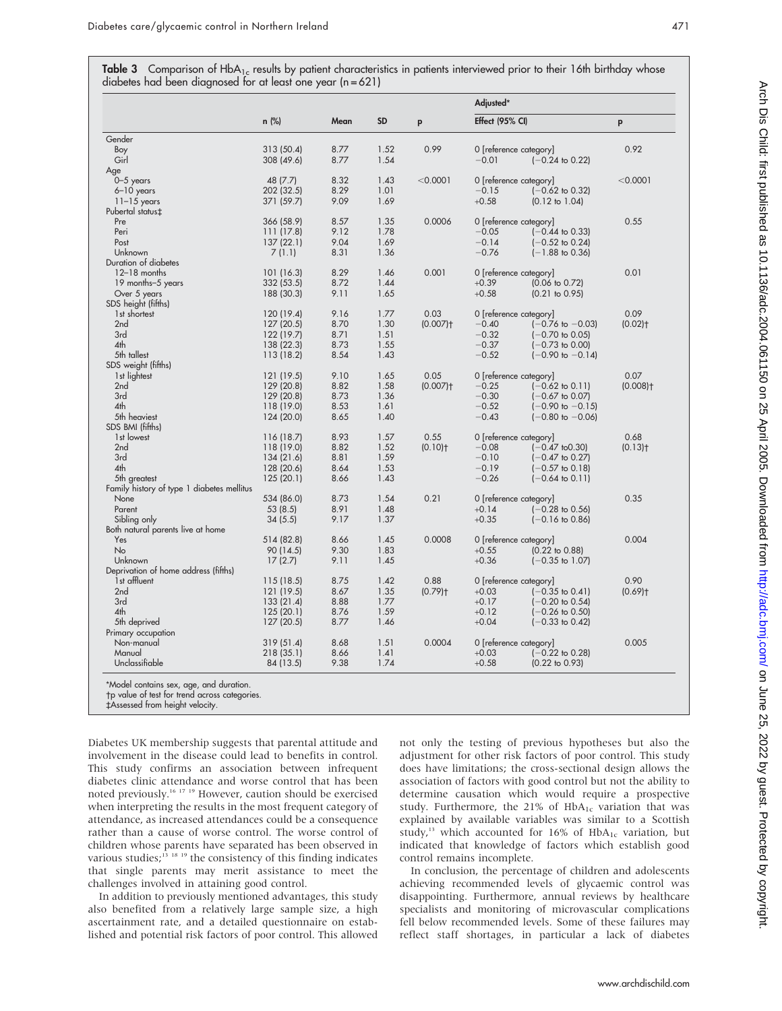| Table 3 Comparison of HbA <sub>1c</sub> results by patient characteristics in patients interviewed prior to their 16th birthday whose |  |  |  |  |
|---------------------------------------------------------------------------------------------------------------------------------------|--|--|--|--|
| diabetes had been diagnosed for at least one year $(n = 621)$                                                                         |  |  |  |  |

|                                            |            | Mean |           | p                      | Adjusted*                              |                        |  |
|--------------------------------------------|------------|------|-----------|------------------------|----------------------------------------|------------------------|--|
|                                            | $n$ (%)    |      | <b>SD</b> |                        | Effect (95% CI)                        | p                      |  |
| Gender                                     |            |      |           |                        |                                        |                        |  |
| Boy                                        | 313 (50.4) | 8.77 | 1.52      | 0.99                   | 0 [reference category]                 | 0.92                   |  |
| Girl                                       | 308 (49.6) | 8.77 | 1.54      |                        | $-0.01$<br>$(-0.24 \text{ to } 0.22)$  |                        |  |
| Age                                        |            |      |           |                        |                                        |                        |  |
| $0-5$ years                                | 48 (7.7)   | 8.32 | 1.43      | < 0.0001               | 0 [reference category]                 | < 0.0001               |  |
| 6-10 years                                 | 202 (32.5) | 8.29 | 1.01      |                        | $-0.15$<br>$(-0.62 \text{ to } 0.32)$  |                        |  |
| $11-15$ years                              | 371 (59.7) | 9.09 | 1.69      |                        | $+0.58$<br>$(0.12 \text{ to } 1.04)$   |                        |  |
| Pubertal status‡                           |            |      |           |                        |                                        |                        |  |
| Pre                                        | 366 (58.9) | 8.57 | 1.35      | 0.0006                 | 0 [reference category]                 | 0.55                   |  |
| Peri                                       | 111(17.8)  | 9.12 | 1.78      |                        | $-0.05$<br>$(-0.44 \text{ to } 0.33)$  |                        |  |
| Post                                       | 137(22.1)  | 9.04 | 1.69      |                        | $-0.14$<br>$(-0.52 \text{ to } 0.24)$  |                        |  |
| Unknown                                    | 7(1.1)     | 8.31 | 1.36      |                        | $-0.76$<br>$(-1.88 \text{ to } 0.36)$  |                        |  |
| Duration of diabetes                       |            |      |           |                        |                                        |                        |  |
| $12-18$ months                             | 101 (16.3) | 8.29 | 1.46      | 0.001                  | 0 [reference category]                 | 0.01                   |  |
| 19 months-5 years                          | 332 (53.5) | 8.72 | 1.44      |                        | $+0.39$<br>$(0.06 \text{ to } 0.72)$   |                        |  |
| Over 5 years                               | 188 (30.3) | 9.11 | 1.65      |                        | $+0.58$<br>$(0.21 \text{ to } 0.95)$   |                        |  |
| SDS height (fifths)                        |            |      |           |                        |                                        |                        |  |
| 1st shortest                               | 120 (19.4) | 9.16 | 1.77      | 0.03                   | 0 [reference category]                 | 0.09                   |  |
| 2 <sub>nd</sub>                            | 127(20.5)  | 8.70 | 1.30      | $(0.007)$ <sup>+</sup> | $(-0.76 \text{ to } -0.03)$<br>$-0.40$ | $(0.02)$ <sup>+</sup>  |  |
| 3rd                                        |            |      | 1.51      |                        | $-0.32$                                |                        |  |
|                                            | 122 (19.7) | 8.71 |           |                        | $(-0.70 \text{ to } 0.05)$             |                        |  |
| 4th                                        | 138 (22.3) | 8.73 | 1.55      |                        | $-0.37$<br>$(-0.73 \text{ to } 0.00)$  |                        |  |
| 5th tallest                                | 113 (18.2) | 8.54 | 1.43      |                        | $-0.52$<br>$(-0.90 \text{ to } -0.14)$ |                        |  |
| SDS weight (fifths)                        |            |      |           |                        |                                        |                        |  |
| 1st lightest                               | 121 (19.5) | 9.10 | 1.65      | 0.05                   | 0 [reference category]                 | 0.07                   |  |
| 2 <sub>nd</sub>                            | 129 (20.8) | 8.82 | 1.58      | $(0.007)$ <sup>+</sup> | $-0.25$<br>$(-0.62 \text{ to } 0.11)$  | $(0.008)$ <sup>+</sup> |  |
| 3rd                                        | 129 (20.8) | 8.73 | 1.36      |                        | $-0.30$<br>$(-0.67 \text{ to } 0.07)$  |                        |  |
| 4 <sub>th</sub>                            | 118 (19.0) | 8.53 | 1.61      |                        | $-0.52$<br>$(-0.90 \text{ to } -0.15)$ |                        |  |
| 5th heaviest                               | 124 (20.0) | 8.65 | 1.40      |                        | $-0.43$<br>$(-0.80 \text{ to } -0.06)$ |                        |  |
| SDS BMI (fifths)                           |            |      |           |                        |                                        |                        |  |
| 1st lowest                                 | 116(18.7)  | 8.93 | 1.57      | 0.55                   | 0 [reference category]                 | 0.68                   |  |
| 2 <sub>nd</sub>                            | 118 (19.0) | 8.82 | 1.52      | $(0.10)$ <sup>+</sup>  | $-0.08$<br>$(-0.47$ to $0.30)$         | $(0.13)$ <sup>+</sup>  |  |
| 3rd                                        | 134 (21.6) | 8.81 | 1.59      |                        | $-0.10$<br>$(-0.47 \text{ to } 0.27)$  |                        |  |
| 4 <sub>th</sub>                            | 128 (20.6) | 8.64 | 1.53      |                        | $-0.19$<br>$(-0.57 \text{ to } 0.18)$  |                        |  |
| 5th greatest                               | 125 (20.1) | 8.66 | 1.43      |                        | $-0.26$<br>$(-0.64 \text{ to } 0.11)$  |                        |  |
| Family history of type 1 diabetes mellitus |            |      |           |                        |                                        |                        |  |
| None                                       | 534 (86.0) | 8.73 | 1.54      | 0.21                   | 0 [reference category]                 | 0.35                   |  |
| Parent                                     | 53(8.5)    | 8.91 | 1.48      |                        | $+0.14$<br>$(-0.28 \text{ to } 0.56)$  |                        |  |
|                                            |            | 9.17 | 1.37      |                        | $+0.35$<br>$(-0.16 \text{ to } 0.86)$  |                        |  |
| Sibling only                               | 34(5.5)    |      |           |                        |                                        |                        |  |
| Both natural parents live at home          |            |      |           |                        |                                        | 0.004                  |  |
| Yes                                        | 514 (82.8) | 8.66 | 1.45      | 0.0008                 | 0 [reference category]                 |                        |  |
| <b>No</b>                                  | 90 (14.5)  | 9.30 | 1.83      |                        | $(0.22 \text{ to } 0.88)$<br>$+0.55$   |                        |  |
| Unknown                                    | 17(2.7)    | 9.11 | 1.45      |                        | $+0.36$<br>$(-0.35 \text{ to } 1.07)$  |                        |  |
| Deprivation of home address (fifths)       |            |      |           |                        |                                        |                        |  |
| 1st affluent                               | 115 (18.5) | 8.75 | 1.42      | 0.88                   | 0 [reference category]                 | 0.90                   |  |
| 2 <sub>nd</sub>                            | 121 (19.5) | 8.67 | 1.35      | $(0.79)$ <sup>+</sup>  | $+0.03$<br>$(-0.35 \text{ to } 0.41)$  | $(0.69)$ <sup>+</sup>  |  |
| 3rd                                        | 133 (21.4) | 8.88 | 1.77      |                        | $+0.17$<br>$(-0.20 \text{ to } 0.54)$  |                        |  |
| 4 <sub>th</sub>                            | 125(20.1)  | 8.76 | 1.59      |                        | $+0.12$<br>$(-0.26 \text{ to } 0.50)$  |                        |  |
| 5th deprived                               | 127 (20.5) | 8.77 | 1.46      |                        | $+0.04$<br>$(-0.33)$ to $0.42$         |                        |  |
| Primary occupation                         |            |      |           |                        |                                        |                        |  |
| Non-manual                                 | 319(51.4)  | 8.68 | 1.51      | 0.0004                 | 0 [reference category]                 | 0.005                  |  |
| Manual                                     | 218 (35.1) | 8.66 | 1.41      |                        | $+0.03$<br>$(-0.22 \text{ to } 0.28)$  |                        |  |
| Unclassifiable                             | 84 (13.5)  | 9.38 | 1.74      |                        | $+0.58$<br>$(0.22 \text{ to } 0.93)$   |                        |  |

trend across

Diabetes UK membership suggests that parental attitude and involvement in the disease could lead to benefits in control. This study confirms an association between infrequent diabetes clinic attendance and worse control that has been noted previously.16 17 19 However, caution should be exercised when interpreting the results in the most frequent category of attendance, as increased attendances could be a consequence rather than a cause of worse control. The worse control of children whose parents have separated has been observed in various studies; $13 \frac{18}{18}$  18 19 the consistency of this finding indicates that single parents may merit assistance to meet the challenges involved in attaining good control.

In addition to previously mentioned advantages, this study also benefited from a relatively large sample size, a high ascertainment rate, and a detailed questionnaire on established and potential risk factors of poor control. This allowed not only the testing of previous hypotheses but also the adjustment for other risk factors of poor control. This study does have limitations; the cross-sectional design allows the association of factors with good control but not the ability to determine causation which would require a prospective study. Furthermore, the 21% of HbA<sub>1c</sub> variation that was explained by available variables was similar to a Scottish study,<sup>13</sup> which accounted for 16% of  $HbA_{1c}$  variation, but indicated that knowledge of factors which establish good control remains incomplete.

In conclusion, the percentage of children and adolescents achieving recommended levels of glycaemic control was disappointing. Furthermore, annual reviews by healthcare specialists and monitoring of microvascular complications fell below recommended levels. Some of these failures may reflect staff shortages, in particular a lack of diabetes

<sup>`</sup>Assessed from height velocity.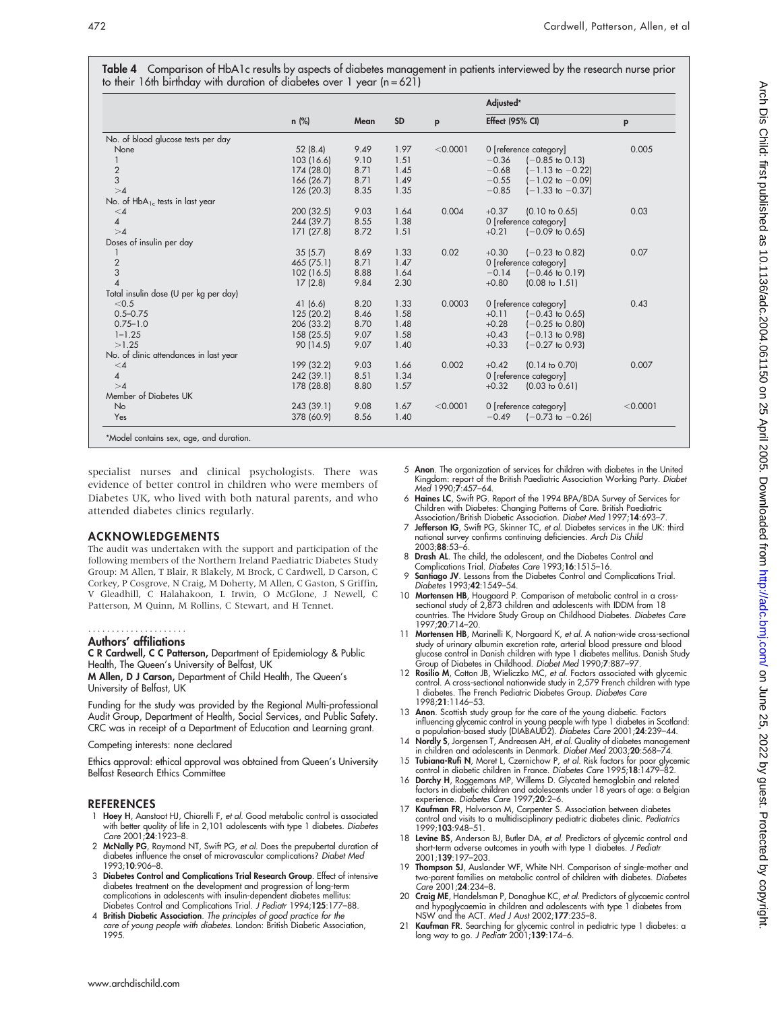|  | Table 4 Comparison of HbA1c results by aspects of diabetes management in patients interviewed by the research nurse prior |  |  |  |
|--|---------------------------------------------------------------------------------------------------------------------------|--|--|--|
|  | to their 16th birthday with duration of diabetes over 1 year (n=621)                                                      |  |  |  |

|                                        |            |      |           |          | Adjusted*                              |          |  |
|----------------------------------------|------------|------|-----------|----------|----------------------------------------|----------|--|
|                                        | $n$ (%)    | Mean | <b>SD</b> | p        | Effect (95% CI)                        | p        |  |
| No. of blood glucose tests per day     |            |      |           |          |                                        |          |  |
| None                                   | 52(8.4)    | 9.49 | 1.97      | < 0.0001 | 0 [reference category]                 | 0.005    |  |
|                                        | 103 (16.6) | 9.10 | 1.51      |          | $-0.36$<br>$(-0.85 \text{ to } 0.13)$  |          |  |
|                                        | 174 (28.0) | 8.71 | 1.45      |          | $-0.68$<br>$(-1.13 \text{ to } -0.22)$ |          |  |
| $\frac{2}{3}$                          | 166 (26.7) | 8.71 | 1.49      |          | $-0.55$<br>$(-1.02 \text{ to } -0.09)$ |          |  |
| >4                                     | 126 (20.3) | 8.35 | 1.35      |          | $-0.85$<br>$(-1.33$ to $-0.37)$        |          |  |
| No. of $HbA_{1c}$ tests in last year   |            |      |           |          |                                        |          |  |
| $\leq 4$                               | 200 (32.5) | 9.03 | 1.64      | 0.004    | $+0.37$<br>$(0.10 \text{ to } 0.65)$   | 0.03     |  |
| $\pmb{4}$                              | 244 (39.7) | 8.55 | 1.38      |          | 0 [reference category]                 |          |  |
| >4                                     | 171 (27.8) | 8.72 | 1.51      |          | $+0.21$<br>$(-0.09)$ to 0.65)          |          |  |
| Doses of insulin per day               |            |      |           |          |                                        |          |  |
|                                        | 35(5.7)    | 8.69 | 1.33      | 0.02     | $+0.30$<br>$(-0.23 \text{ to } 0.82)$  | 0.07     |  |
| $\sqrt{2}$                             | 465 (75.1) | 8.71 | 1.47      |          | 0 [reference category]                 |          |  |
| 3                                      | 102 (16.5) | 8.88 | 1.64      |          | $-0.14$<br>$(-0.46 \text{ to } 0.19)$  |          |  |
| $\overline{4}$                         | 17(2.8)    | 9.84 | 2.30      |          | $+0.80$<br>$(0.08 \text{ to } 1.51)$   |          |  |
| Total insulin dose (U per kg per day)  |            |      |           |          |                                        |          |  |
| < 0.5                                  | 41(6.6)    | 8.20 | 1.33      | 0.0003   | 0 [reference category]                 | 0.43     |  |
| $0.5 - 0.75$                           | 125 (20.2) | 8.46 | 1.58      |          | $+0.11$<br>$(-0.43 \text{ to } 0.65)$  |          |  |
| $0.75 - 1.0$                           | 206 (33.2) | 8.70 | 1.48      |          | $+0.28$<br>$(-0.25 \text{ to } 0.80)$  |          |  |
| $1 - 1.25$                             | 158 (25.5) | 9.07 | 1.58      |          | $+0.43$<br>$(-0.13 \text{ to } 0.98)$  |          |  |
| >1.25                                  | 90 (14.5)  | 9.07 | 1.40      |          | $+0.33$<br>$(-0.27$ to 0.93)           |          |  |
| No. of clinic attendances in last year |            |      |           |          |                                        |          |  |
| $\leq 4$                               | 199 (32.2) | 9.03 | 1.66      | 0.002    | $+0.42$<br>$(0.14 \text{ to } 0.70)$   | 0.007    |  |
| 4                                      | 242 (39.1) | 8.51 | 1.34      |          | 0 [reference category]                 |          |  |
| >4                                     | 178 (28.8) | 8.80 | 1.57      |          | $+0.32$<br>$(0.03 \text{ to } 0.61)$   |          |  |
| Member of Diabetes UK                  |            |      |           |          |                                        |          |  |
| No                                     | 243 (39.1) | 9.08 | 1.67      | < 0.0001 | 0 [reference category]                 | < 0.0001 |  |
| Yes                                    | 378 (60.9) | 8.56 | 1.40      |          | $-0.49$<br>$(-0.73 \text{ to } -0.26)$ |          |  |

specialist nurses and clinical psychologists. There was evidence of better control in children who were members of Diabetes UK, who lived with both natural parents, and who attended diabetes clinics regularly.

# ACKNOWLEDGEMENTS

The audit was undertaken with the support and participation of the following members of the Northern Ireland Paediatric Diabetes Study Group: M Allen, T Blair, R Blakely, M Brock, C Cardwell, D Carson, C Corkey, P Cosgrove, N Craig, M Doherty, M Allen, C Gaston, S Griffin, V Gleadhill, C Halahakoon, L Irwin, O McGlone, J Newell, C Patterson, M Quinn, M Rollins, C Stewart, and H Tennet.

#### Authors' affiliations .....................

### C R Cardwell, C C Patterson, Department of Epidemiology & Public Health, The Queen's University of Belfast, UK

M Allen, D J Carson, Department of Child Health, The Queen's University of Belfast, UK

Funding for the study was provided by the Regional Multi-professional Audit Group, Department of Health, Social Services, and Public Safety. CRC was in receipt of a Department of Education and Learning grant.

#### Competing interests: none declared

Ethics approval: ethical approval was obtained from Queen's University Belfast Research Ethics Committee

## REFERENCES

- 1 Hoey H, Aanstoot HJ, Chiarelli F, et al. Good metabolic control is associated with better quality of life in 2,101 adolescents with type 1 diabetes. Diabetes Care 2001;**24**:1923–8.
- 2 McNally PG, Raymond NT, Swift PG, et al. Does the prepubertal duration of diabetes influence the onset of microvascular complications? Diabet Med 1993;10:906–8.
- 3 Diabetes Control and Complications Trial Research Group. Effect of intensive diabetes treatment on the development and progression of long-term complications in adolescents with insulin-dependent diabetes mellitus: Diabetes Control and Complications Trial. J Pediatr 1994;125:177–88.
- 4 British Diabetic Association. The principles of good practice for the care of young people with diabetes. London: British Diabetic Association, 1995.
- 5 Anon. The organization of services for children with diabetes in the United Kingdom: report of the British Paediatric Association Working Party. Diabet Med 1990;7:457–64.
- 6 Haines LC, Swift PG. Report of the 1994 BPA/BDA Survey of Services for Children with Diabetes: Changing Patterns of Care. British Paediatric Association/British Diabetic Association. Diabet Med 1997;14:693-7
- 7 Jefferson IG, Swift PG, Skinner TC, et al. Diabetes services in the UK: third national survey confirms continuing deficiencies. Arch Dis Child 2003;88:53–6.
- 8 Drash AL. The child, the adolescent, and the Diabetes Control and Complications Trial. Diabetes Care 1993;16:1515–16.
- 9 Santiago JV. Lessons from the Diabetes Control and Complications Trial. Diabetes 1993;42:1549–54.
- 10 Mortensen HB, Hougaard P. Comparison of metabolic control in a crosssectional study of 2,873 children and adolescents with IDDM from 18 countries. The Hvidore Study Group on Childhood Diabetes. Diabetes Care 1997;20:714–20.
- 11 Mortensen HB, Marinelli K, Norgaard K, et al. A nation-wide cross-sectional study of urinary albumin excretion rate, arterial blood pressure and blood glucose control in Danish children with type 1 diabetes mellitus. Danish Study Group of Diabetes in Childhood. Diabet Med 1990;7:887–97.
- 12 Rosilio M, Cotton JB, Wieliczko MC, et al. Factors associated with glycemic control. A cross-sectional nationwide study in 2,579 French children with type 1 diabetes. The French Pediatric Diabetes Group. Diabetes Care 1998;21:1146–53.
- 13 Anon. Scottish study group for the care of the young diabetic. Factors influencing glycemic control in young people with type 1 diabetes in Scotland: a population-based study (DIABAUD2). Diabetes Care 2001;24:239–44.
- 14 Nordly S, Jorgensen T, Andreasen AH, et al. Quality of diabetes management in children and adolescents in Denmark. Diabet Med 2003;20:568–74.
- 15 Tubiana-Rufi N, Moret L, Czernichow P, et al. Risk factors for poor glycemic control in diabetic children in France. Diabetes Care 1995;18:1479-82.
- 16 Dorchy H, Roggemans MP, Willems D. Glycated hemoglobin and related factors in diabetic children and adolescents under 18 years of age: a Belgian experience. Diabetes Care 1997;20:2–6.
- 17 Kaufman FR, Halvorson M, Carpenter S. Association between diabetes control and visits to a multidisciplinary pediatric diabetes clinic. Pediatrics 1999;103:948–51.
- 18 Levine BS, Anderson BJ, Butler DA, et al. Predictors of glycemic control and short-term adverse outcomes in youth with type 1 diabetes. J Pediatr 2001;139:197–203.
- 19 Thompson SJ, Auslander WF, White NH. Comparison of single-mother and two-parent families on metabolic control of children with diabetes. Diabetes Care 2001;24:234–8.
- 20 Craig ME, Handelsman P, Donaghue KC, *et al.* Predictors of glycaemic control<br>and hypoglycaemia in children and adolescents with type 1 diabetes from<br>NSW and the ACT. *Med J Aust* 2002;177:235–8.
- 21 Kaufman FR. Searching for glycemic control in pediatric type 1 diabetes: a long way to go. J Pediatr 2001;139:174–6.